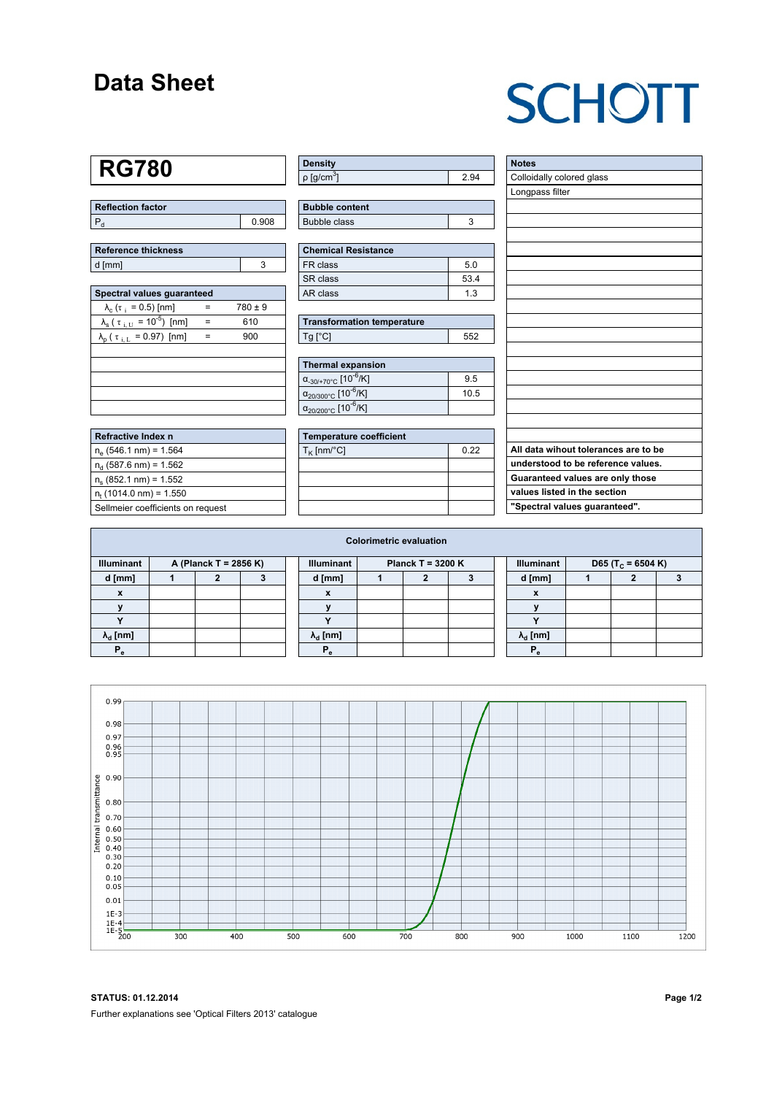### **Data Sheet**

## **SCHOTT**

## **RG780**

| Reflection factor |       |
|-------------------|-------|
| l F               | 0.908 |

| Reference thickness |  |
|---------------------|--|
| d [mm]              |  |

| Spectral values quaranteed                             |     |             |  |  |  |  |  |  |  |
|--------------------------------------------------------|-----|-------------|--|--|--|--|--|--|--|
| $\lambda_c$ ( $\tau_i$ = 0.5) [nm]                     |     | $780 \pm 9$ |  |  |  |  |  |  |  |
| $\lambda_{\rm s}$ ( $\tau_{\rm i, U} = 10^{-5}$ ) [nm] | $=$ | 610         |  |  |  |  |  |  |  |
| $\lambda_{\rm p}$ ( $\tau_{\rm i, L}$ = 0.97) [nm]     | $=$ | 900         |  |  |  |  |  |  |  |
|                                                        |     |             |  |  |  |  |  |  |  |
|                                                        |     |             |  |  |  |  |  |  |  |
|                                                        |     |             |  |  |  |  |  |  |  |
|                                                        |     |             |  |  |  |  |  |  |  |
|                                                        |     |             |  |  |  |  |  |  |  |

| <b>Refractive Index n</b>         |
|-----------------------------------|
| $n_e$ (546.1 nm) = 1.564          |
| $n_{d}$ (587.6 nm) = 1.562        |
| $n_s$ (852.1 nm) = 1.552          |
| $n_{t}$ (1014.0 nm) = 1.550       |
| Sellmeier coefficients on request |

| Density                    |      |
|----------------------------|------|
| $ p $ [g/cm <sup>3</sup> ] | 2.94 |

| <b>Bubble content</b> |  |
|-----------------------|--|
| Bubble class          |  |

| <b>Chemical Resistance</b> |      |  |  |  |  |
|----------------------------|------|--|--|--|--|
| FR class                   | 50   |  |  |  |  |
| SR class                   | 53.4 |  |  |  |  |
| AR class                   | 1.3  |  |  |  |  |

| <b>Transformation temperature</b> |     |  |  |  |  |  |
|-----------------------------------|-----|--|--|--|--|--|
| $Ta$ $C1$                         | 552 |  |  |  |  |  |

| Thermal expansion                                 |      |
|---------------------------------------------------|------|
| $\alpha_{.30/+70\degree}$ C [10 <sup>-6</sup> /K] | 9.5  |
| $\alpha_{20/300^{\circ}C}$ [10 <sup>-6</sup> /K]  | 10.5 |
| $\alpha_{20/200^{\circ}C}$ [10 <sup>-6</sup> /K]  |      |

| Temperature coefficient |      |  |  |  |  |  |  |
|-------------------------|------|--|--|--|--|--|--|
| $T_{\rm K}$ [nm/°C]     | 0.22 |  |  |  |  |  |  |
|                         |      |  |  |  |  |  |  |
|                         |      |  |  |  |  |  |  |
|                         |      |  |  |  |  |  |  |
|                         |      |  |  |  |  |  |  |

| <b>Notes</b>                         |
|--------------------------------------|
| Colloidally colored glass            |
| Longpass filter                      |
|                                      |
|                                      |
|                                      |
|                                      |
|                                      |
|                                      |
|                                      |
|                                      |
|                                      |
|                                      |
|                                      |
|                                      |
|                                      |
|                                      |
|                                      |
|                                      |
|                                      |
| All data wihout tolerances are to be |
| understood to be reference values.   |
| Guaranteed values are only those     |
| values listed in the section         |
| "Spectral values guaranteed".        |

| <b>Colorimetric evaluation</b>             |  |  |  |                                               |                        |  |  |  |                                                    |                        |  |  |  |
|--------------------------------------------|--|--|--|-----------------------------------------------|------------------------|--|--|--|----------------------------------------------------|------------------------|--|--|--|
| <b>Illuminant</b><br>A (Planck T = 2856 K) |  |  |  | <b>Illuminant</b><br><b>Planck T = 3200 K</b> |                        |  |  |  | <b>Illuminant</b><br>D65 (T <sub>c</sub> = 6504 K) |                        |  |  |  |
| d [mm]                                     |  |  |  |                                               | d [mm]                 |  |  |  |                                                    | d [mm]                 |  |  |  |
|                                            |  |  |  |                                               | ⋏                      |  |  |  |                                                    |                        |  |  |  |
|                                            |  |  |  |                                               |                        |  |  |  |                                                    |                        |  |  |  |
|                                            |  |  |  |                                               |                        |  |  |  |                                                    |                        |  |  |  |
| $\lambda_{\rm d}$ [nm]                     |  |  |  |                                               | $\lambda_{\rm d}$ [nm] |  |  |  |                                                    | $\lambda_{\rm d}$ [nm] |  |  |  |
|                                            |  |  |  |                                               | $P_{\alpha}$           |  |  |  |                                                    |                        |  |  |  |